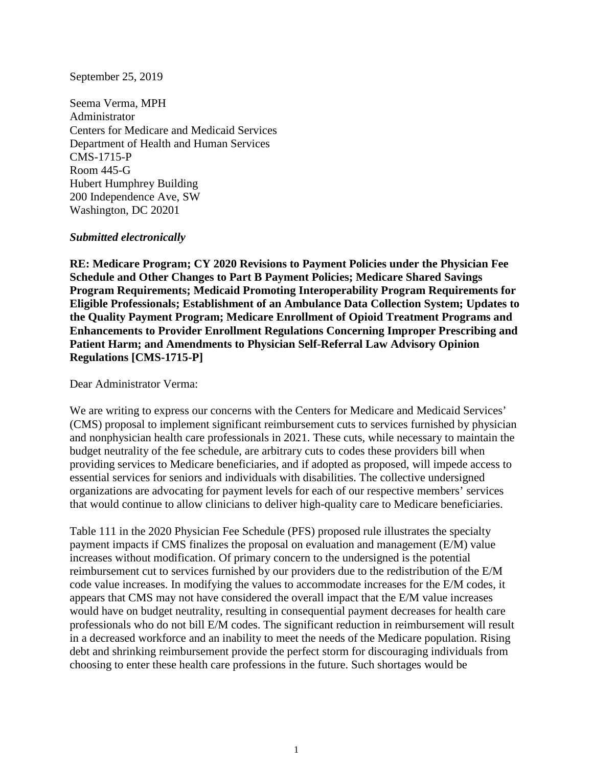## September 25, 2019

Seema Verma, MPH Administrator Centers for Medicare and Medicaid Services Department of Health and Human Services CMS-1715-P Room 445-G Hubert Humphrey Building 200 Independence Ave, SW Washington, DC 20201

## *Submitted electronically*

**RE: Medicare Program; CY 2020 Revisions to Payment Policies under the Physician Fee Schedule and Other Changes to Part B Payment Policies; Medicare Shared Savings Program Requirements; Medicaid Promoting Interoperability Program Requirements for Eligible Professionals; Establishment of an Ambulance Data Collection System; Updates to the Quality Payment Program; Medicare Enrollment of Opioid Treatment Programs and Enhancements to Provider Enrollment Regulations Concerning Improper Prescribing and Patient Harm; and Amendments to Physician Self-Referral Law Advisory Opinion Regulations [CMS-1715-P]**

Dear Administrator Verma:

We are writing to express our concerns with the Centers for Medicare and Medicaid Services' (CMS) proposal to implement significant reimbursement cuts to services furnished by physician and nonphysician health care professionals in 2021. These cuts, while necessary to maintain the budget neutrality of the fee schedule, are arbitrary cuts to codes these providers bill when providing services to Medicare beneficiaries, and if adopted as proposed, will impede access to essential services for seniors and individuals with disabilities. The collective undersigned organizations are advocating for payment levels for each of our respective members' services that would continue to allow clinicians to deliver high-quality care to Medicare beneficiaries.

Table 111 in the 2020 Physician Fee Schedule (PFS) proposed rule illustrates the specialty payment impacts if CMS finalizes the proposal on evaluation and management (E/M) value increases without modification. Of primary concern to the undersigned is the potential reimbursement cut to services furnished by our providers due to the redistribution of the E/M code value increases. In modifying the values to accommodate increases for the E/M codes, it appears that CMS may not have considered the overall impact that the E/M value increases would have on budget neutrality, resulting in consequential payment decreases for health care professionals who do not bill E/M codes. The significant reduction in reimbursement will result in a decreased workforce and an inability to meet the needs of the Medicare population. Rising debt and shrinking reimbursement provide the perfect storm for discouraging individuals from choosing to enter these health care professions in the future. Such shortages would be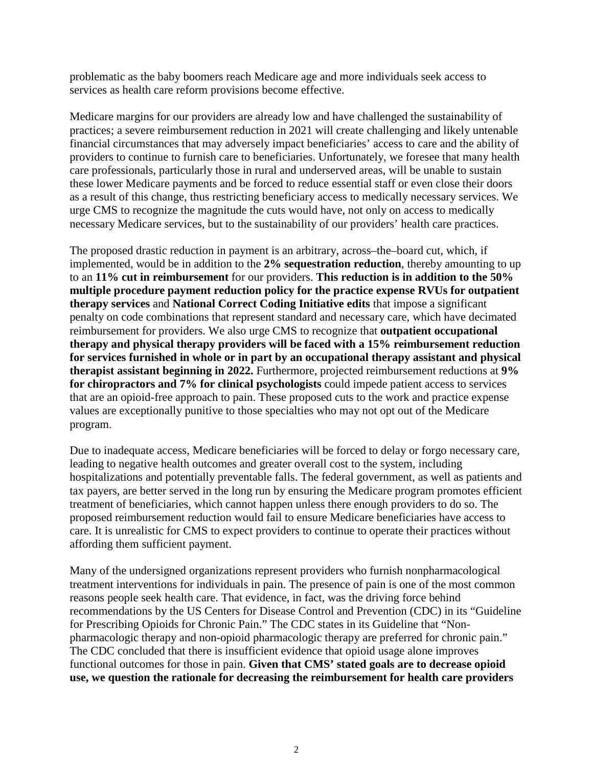problematic as the baby boomers reach Medicare age and more individuals seek access to services as health care reform provisions become effective.

Medicare margins for our providers are already low and have challenged the sustainability of practices; a severe reimbursement reduction in 2021 will create challenging and likely untenable financial circumstances that may adversely impact beneficiaries' access to care and the ability of providers to continue to furnish care to beneficiaries. Unfortunately, we foresee that many health care professionals, particularly those in rural and underserved areas, will be unable to sustain these lower Medicare payments and be forced to reduce essential staff or even close their doors as a result of this change, thus restricting beneficiary access to medically necessary services. We urge CMS to recognize the magnitude the cuts would have, not only on access to medically necessary Medicare services, but to the sustainability of our providers' health care practices.

The proposed drastic reduction in payment is an arbitrary, across–the–board cut, which, if implemented, would be in addition to the **2% sequestration reduction**, thereby amounting to up to an **11% cut in reimbursement** for our providers. **This reduction is in addition to the 50% multiple procedure payment reduction policy for the practice expense RVUs for outpatient therapy services** and **National Correct Coding Initiative edits** that impose a significant penalty on code combinations that represent standard and necessary care, which have decimated reimbursement for providers. We also urge CMS to recognize that **outpatient occupational therapy and physical therapy providers will be faced with a 15% reimbursement reduction for services furnished in whole or in part by an occupational therapy assistant and physical therapist assistant beginning in 2022.** Furthermore, projected reimbursement reductions at **9% for chiropractors and 7% for clinical psychologists** could impede patient access to services that are an opioid-free approach to pain. These proposed cuts to the work and practice expense values are exceptionally punitive to those specialties who may not opt out of the Medicare program.

Due to inadequate access, Medicare beneficiaries will be forced to delay or forgo necessary care, leading to negative health outcomes and greater overall cost to the system, including hospitalizations and potentially preventable falls. The federal government, as well as patients and tax payers, are better served in the long run by ensuring the Medicare program promotes efficient treatment of beneficiaries, which cannot happen unless there enough providers to do so. The proposed reimbursement reduction would fail to ensure Medicare beneficiaries have access to care. It is unrealistic for CMS to expect providers to continue to operate their practices without affording them sufficient payment.

Many of the undersigned organizations represent providers who furnish nonpharmacological treatment interventions for individuals in pain. The presence of pain is one of the most common reasons people seek health care. That evidence, in fact, was the driving force behind recommendations by the US Centers for Disease Control and Prevention (CDC) in its "Guideline for Prescribing Opioids for Chronic Pain." The CDC states in its Guideline that "Nonpharmacologic therapy and non-opioid pharmacologic therapy are preferred for chronic pain." The CDC concluded that there is insufficient evidence that opioid usage alone improves functional outcomes for those in pain. **Given that CMS' stated goals are to decrease opioid use, we question the rationale for decreasing the reimbursement for health care providers**